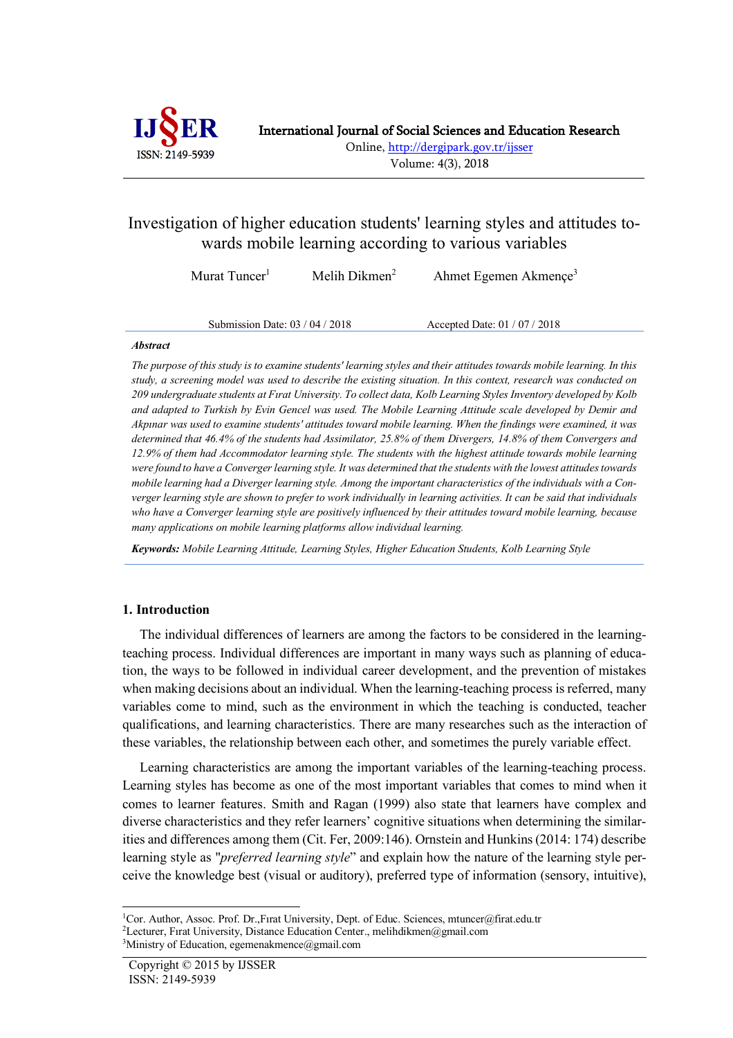

Online, http://dergipark.gov.tr/ijsser Volume: 4(3), 2018

# Investigation of higher education students' learning styles and attitudes towards mobile learning according to various variables

Murat Tuncer<sup>1</sup> Melih Dikmen<sup>2</sup> Ahmet Egemen Akmençe<sup>3</sup>

Submission Date: 03 / 04 / 2018 Accepted Date: 01 / 07 / 2018

### *Abstract*

*The purpose of this study is to examine students' learning styles and their attitudes towards mobile learning. In this study, a screening model was used to describe the existing situation. In this context, research was conducted on 209 undergraduate students at Fırat University. To collect data, Kolb Learning Styles Inventory developed by Kolb and adapted to Turkish by Evin Gencel was used. The Mobile Learning Attitude scale developed by Demir and Akpınar was used to examine students' attitudes toward mobile learning. When the findings were examined, it was determined that 46.4% of the students had Assimilator, 25.8% of them Divergers, 14.8% of them Convergers and 12.9% of them had Accommodator learning style. The students with the highest attitude towards mobile learning were found to have a Converger learning style. It was determined that the students with the lowest attitudes towards mobile learning had a Diverger learning style. Among the important characteristics of the individuals with a Converger learning style are shown to prefer to work individually in learning activities. It can be said that individuals who have a Converger learning style are positively influenced by their attitudes toward mobile learning, because many applications on mobile learning platforms allow individual learning.*

*Keywords: Mobile Learning Attitude, Learning Styles, Higher Education Students, Kolb Learning Style*

### **1. Introduction**

The individual differences of learners are among the factors to be considered in the learningteaching process. Individual differences are important in many ways such as planning of education, the ways to be followed in individual career development, and the prevention of mistakes when making decisions about an individual. When the learning-teaching process is referred, many variables come to mind, such as the environment in which the teaching is conducted, teacher qualifications, and learning characteristics. There are many researches such as the interaction of these variables, the relationship between each other, and sometimes the purely variable effect.

Learning characteristics are among the important variables of the learning-teaching process. Learning styles has become as one of the most important variables that comes to mind when it comes to learner features. Smith and Ragan (1999) also state that learners have complex and diverse characteristics and they refer learners' cognitive situations when determining the similarities and differences among them (Cit. Fer, 2009:146). Ornstein and Hunkins (2014: 174) describe learning style as "*preferred learning style*" and explain how the nature of the learning style perceive the knowledge best (visual or auditory), preferred type of information (sensory, intuitive),

 $\overline{a}$ 

<sup>&</sup>lt;sup>1</sup>Cor. Author, Assoc. Prof. Dr., Fırat University, Dept. of Educ. Sciences, mtuncer@firat.edu.tr 2Lecturer, Fırat University, Distance Education Center., melihdikmen@gmail.com <sup>3</sup>Ministry of Education, egemenakmence@gmail.com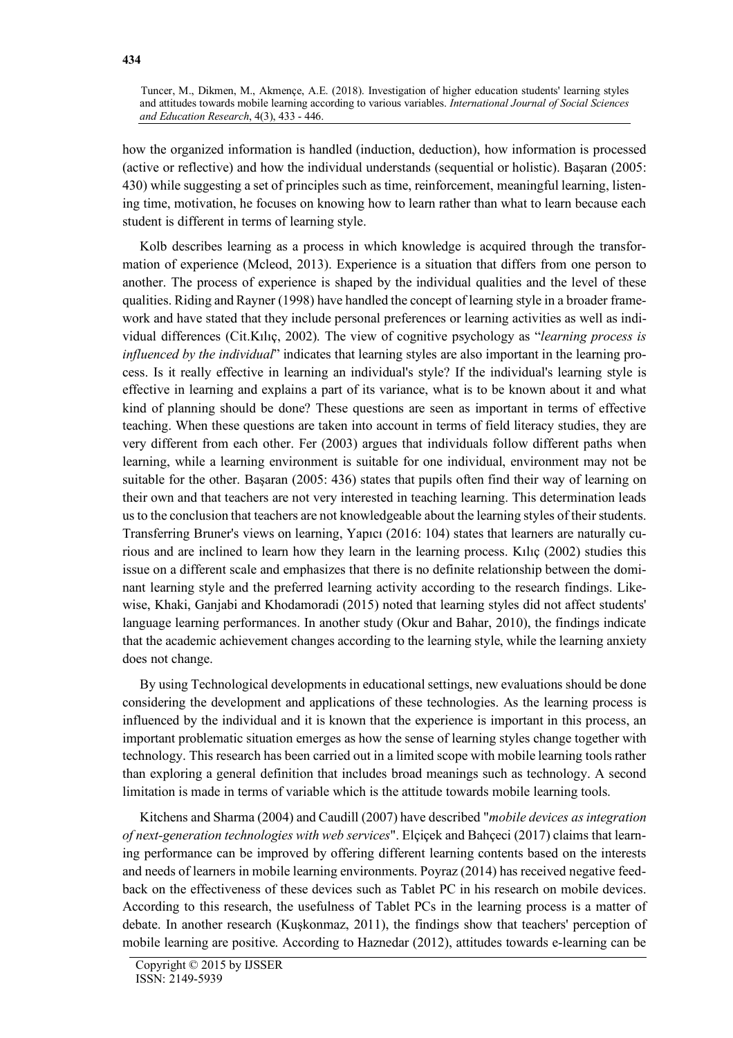how the organized information is handled (induction, deduction), how information is processed (active or reflective) and how the individual understands (sequential or holistic). Başaran (2005: 430) while suggesting a set of principles such as time, reinforcement, meaningful learning, listening time, motivation, he focuses on knowing how to learn rather than what to learn because each student is different in terms of learning style.

Kolb describes learning as a process in which knowledge is acquired through the transformation of experience (Mcleod, 2013). Experience is a situation that differs from one person to another. The process of experience is shaped by the individual qualities and the level of these qualities. Riding and Rayner (1998) have handled the concept of learning style in a broader framework and have stated that they include personal preferences or learning activities as well as individual differences (Cit.Kılıç, 2002). The view of cognitive psychology as "*learning process is influenced by the individual*" indicates that learning styles are also important in the learning process. Is it really effective in learning an individual's style? If the individual's learning style is effective in learning and explains a part of its variance, what is to be known about it and what kind of planning should be done? These questions are seen as important in terms of effective teaching. When these questions are taken into account in terms of field literacy studies, they are very different from each other. Fer (2003) argues that individuals follow different paths when learning, while a learning environment is suitable for one individual, environment may not be suitable for the other. Başaran (2005: 436) states that pupils often find their way of learning on their own and that teachers are not very interested in teaching learning. This determination leads us to the conclusion that teachers are not knowledgeable about the learning styles of their students. Transferring Bruner's views on learning, Yapıcı (2016: 104) states that learners are naturally curious and are inclined to learn how they learn in the learning process. Kılıç (2002) studies this issue on a different scale and emphasizes that there is no definite relationship between the dominant learning style and the preferred learning activity according to the research findings. Likewise, Khaki, Ganjabi and Khodamoradi (2015) noted that learning styles did not affect students' language learning performances. In another study (Okur and Bahar, 2010), the findings indicate that the academic achievement changes according to the learning style, while the learning anxiety does not change.

By using Technological developments in educational settings, new evaluations should be done considering the development and applications of these technologies. As the learning process is influenced by the individual and it is known that the experience is important in this process, an important problematic situation emerges as how the sense of learning styles change together with technology. This research has been carried out in a limited scope with mobile learning tools rather than exploring a general definition that includes broad meanings such as technology. A second limitation is made in terms of variable which is the attitude towards mobile learning tools.

Kitchens and Sharma (2004) and Caudill (2007) have described "*mobile devices as integration of next-generation technologies with web services*". Elçiçek and Bahçeci (2017) claims that learning performance can be improved by offering different learning contents based on the interests and needs of learners in mobile learning environments. Poyraz (2014) has received negative feedback on the effectiveness of these devices such as Tablet PC in his research on mobile devices. According to this research, the usefulness of Tablet PCs in the learning process is a matter of debate. In another research (Kuşkonmaz, 2011), the findings show that teachers' perception of mobile learning are positive. According to Haznedar (2012), attitudes towards e-learning can be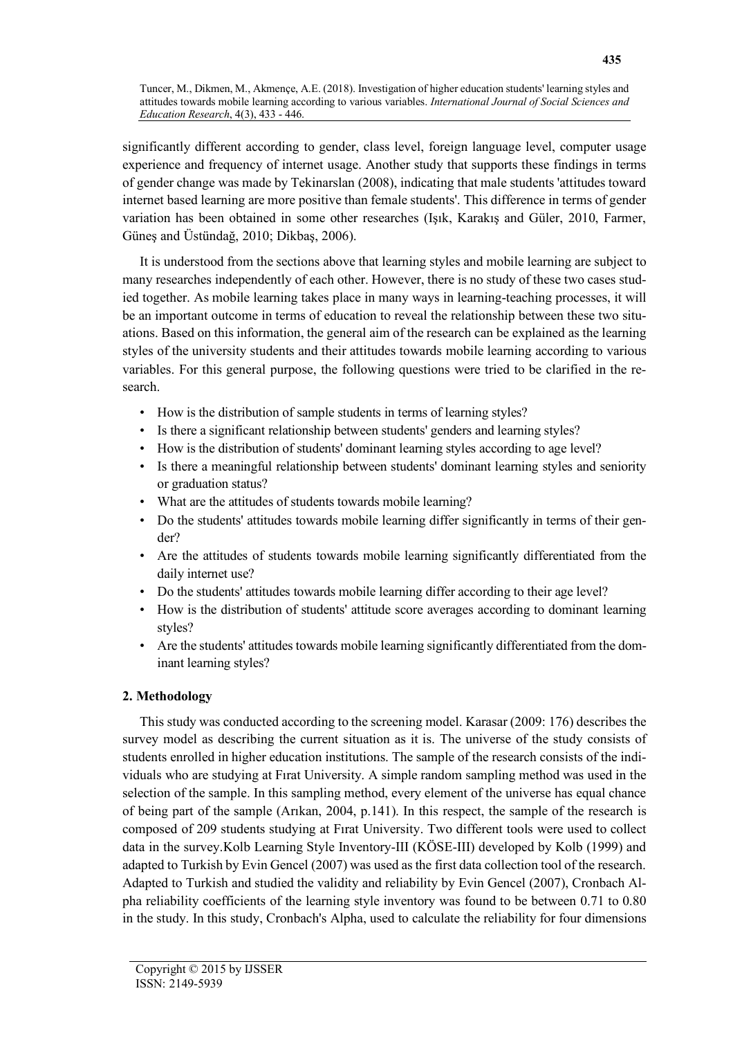significantly different according to gender, class level, foreign language level, computer usage experience and frequency of internet usage. Another study that supports these findings in terms of gender change was made by Tekinarslan (2008), indicating that male students 'attitudes toward internet based learning are more positive than female students'. This difference in terms of gender variation has been obtained in some other researches (Işık, Karakış and Güler, 2010, Farmer, Güneş and Üstündağ, 2010; Dikbaş, 2006).

It is understood from the sections above that learning styles and mobile learning are subject to many researches independently of each other. However, there is no study of these two cases studied together. As mobile learning takes place in many ways in learning-teaching processes, it will be an important outcome in terms of education to reveal the relationship between these two situations. Based on this information, the general aim of the research can be explained as the learning styles of the university students and their attitudes towards mobile learning according to various variables. For this general purpose, the following questions were tried to be clarified in the research.

- How is the distribution of sample students in terms of learning styles?
- Is there a significant relationship between students' genders and learning styles?
- How is the distribution of students' dominant learning styles according to age level?
- Is there a meaningful relationship between students' dominant learning styles and seniority or graduation status?
- What are the attitudes of students towards mobile learning?
- Do the students' attitudes towards mobile learning differ significantly in terms of their gender?
- Are the attitudes of students towards mobile learning significantly differentiated from the daily internet use?
- Do the students' attitudes towards mobile learning differ according to their age level?
- How is the distribution of students' attitude score averages according to dominant learning styles?
- Are the students' attitudes towards mobile learning significantly differentiated from the dominant learning styles?

## **2. Methodology**

This study was conducted according to the screening model. Karasar (2009: 176) describes the survey model as describing the current situation as it is. The universe of the study consists of students enrolled in higher education institutions. The sample of the research consists of the individuals who are studying at Fırat University. A simple random sampling method was used in the selection of the sample. In this sampling method, every element of the universe has equal chance of being part of the sample (Arıkan, 2004, p.141). In this respect, the sample of the research is composed of 209 students studying at Fırat University. Two different tools were used to collect data in the survey.Kolb Learning Style Inventory-III (KÖSE-III) developed by Kolb (1999) and adapted to Turkish by Evin Gencel (2007) was used as the first data collection tool of the research. Adapted to Turkish and studied the validity and reliability by Evin Gencel (2007), Cronbach Alpha reliability coefficients of the learning style inventory was found to be between 0.71 to 0.80 in the study. In this study, Cronbach's Alpha, used to calculate the reliability for four dimensions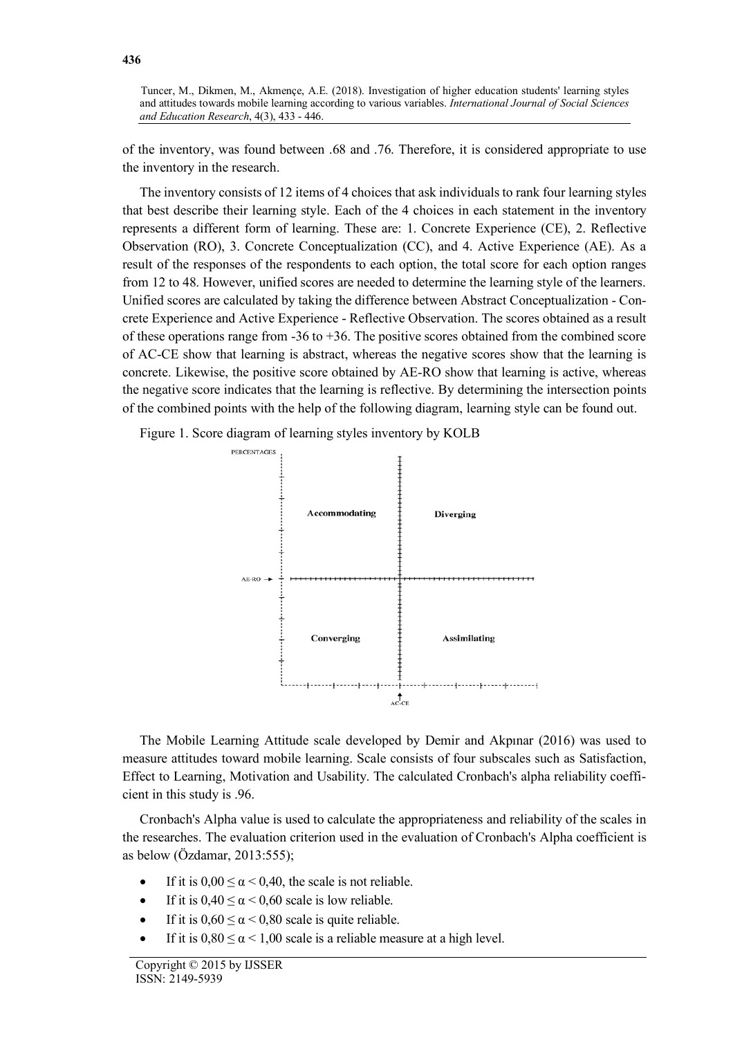of the inventory, was found between .68 and .76. Therefore, it is considered appropriate to use the inventory in the research.

The inventory consists of 12 items of 4 choices that ask individuals to rank four learning styles that best describe their learning style. Each of the 4 choices in each statement in the inventory represents a different form of learning. These are: 1. Concrete Experience (CE), 2. Reflective Observation (RO), 3. Concrete Conceptualization (CC), and 4. Active Experience (AE). As a result of the responses of the respondents to each option, the total score for each option ranges from 12 to 48. However, unified scores are needed to determine the learning style of the learners. Unified scores are calculated by taking the difference between Abstract Conceptualization - Concrete Experience and Active Experience - Reflective Observation. The scores obtained as a result of these operations range from  $-36$  to  $+36$ . The positive scores obtained from the combined score of AC-CE show that learning is abstract, whereas the negative scores show that the learning is concrete. Likewise, the positive score obtained by AE-RO show that learning is active, whereas the negative score indicates that the learning is reflective. By determining the intersection points of the combined points with the help of the following diagram, learning style can be found out.

Figure 1. Score diagram of learning styles inventory by KOLB



The Mobile Learning Attitude scale developed by Demir and Akpınar (2016) was used to measure attitudes toward mobile learning. Scale consists of four subscales such as Satisfaction, Effect to Learning, Motivation and Usability. The calculated Cronbach's alpha reliability coefficient in this study is .96.

Cronbach's Alpha value is used to calculate the appropriateness and reliability of the scales in the researches. The evaluation criterion used in the evaluation of Cronbach's Alpha coefficient is as below (Özdamar, 2013:555);

- If it is  $0.00 \le \alpha \le 0.40$ , the scale is not reliable.
- If it is  $0.40 \le \alpha \le 0.60$  scale is low reliable.
- If it is  $0.60 \le \alpha \le 0.80$  scale is quite reliable.
- If it is  $0.80 \le \alpha < 1.00$  scale is a reliable measure at a high level.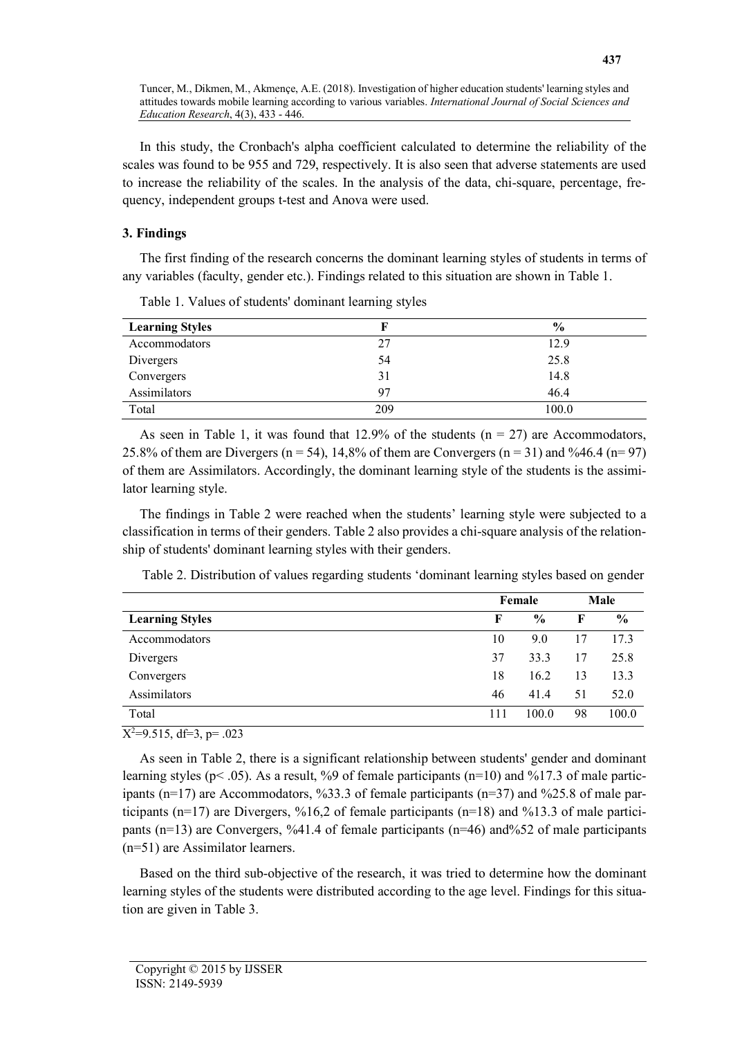In this study, the Cronbach's alpha coefficient calculated to determine the reliability of the scales was found to be 955 and 729, respectively. It is also seen that adverse statements are used to increase the reliability of the scales. In the analysis of the data, chi-square, percentage, frequency, independent groups t-test and Anova were used.

## **3. Findings**

The first finding of the research concerns the dominant learning styles of students in terms of any variables (faculty, gender etc.). Findings related to this situation are shown in Table 1.

| <b>Learning Styles</b> |     | $\frac{6}{9}$ |
|------------------------|-----|---------------|
| Accommodators          | 27  | 12.9          |
| Divergers              | 54  | 25.8          |
| Convergers             | 31  | 14.8          |
| Assimilators           | 97  | 46.4          |
| Total                  | 209 | 100.0         |

Table 1. Values of students' dominant learning styles

As seen in Table 1, it was found that  $12.9%$  of the students (n = 27) are Accommodators, 25.8% of them are Divergers ( $n = 54$ ), 14,8% of them are Convergers ( $n = 31$ ) and %46.4 ( $n = 97$ ) of them are Assimilators. Accordingly, the dominant learning style of the students is the assimilator learning style.

The findings in Table 2 were reached when the students' learning style were subjected to a classification in terms of their genders. Table 2 also provides a chi-square analysis of the relationship of students' dominant learning styles with their genders.

Table 2. Distribution of values regarding students 'dominant learning styles based on gender

|                        | Female       |               | Male |               |  |
|------------------------|--------------|---------------|------|---------------|--|
| <b>Learning Styles</b> | $\mathbf{F}$ | $\frac{6}{9}$ | F    | $\frac{6}{9}$ |  |
| Accommodators          | 10           | 9.0           | 17   | 17.3          |  |
| Divergers              | 37           | 33.3          | 17   | 25.8          |  |
| Convergers             | 18           | 16.2          | 13   | 13.3          |  |
| Assimilators           | 46           | 41.4          | 51   | 52.0          |  |
| Total                  | 111          | 100.0         | 98   | 100.0         |  |

 $X^2=9.515$ , df=3, p= .023

As seen in Table 2, there is a significant relationship between students' gender and dominant learning styles ( $p$ < .05). As a result, %9 of female participants ( $n=10$ ) and %17.3 of male participants ( $n=17$ ) are Accommodators, %33.3 of female participants ( $n=37$ ) and %25.8 of male participants (n=17) are Divergers, %16,2 of female participants (n=18) and %13.3 of male participants (n=13) are Convergers, %41.4 of female participants (n=46) and%52 of male participants (n=51) are Assimilator learners.

Based on the third sub-objective of the research, it was tried to determine how the dominant learning styles of the students were distributed according to the age level. Findings for this situation are given in Table 3.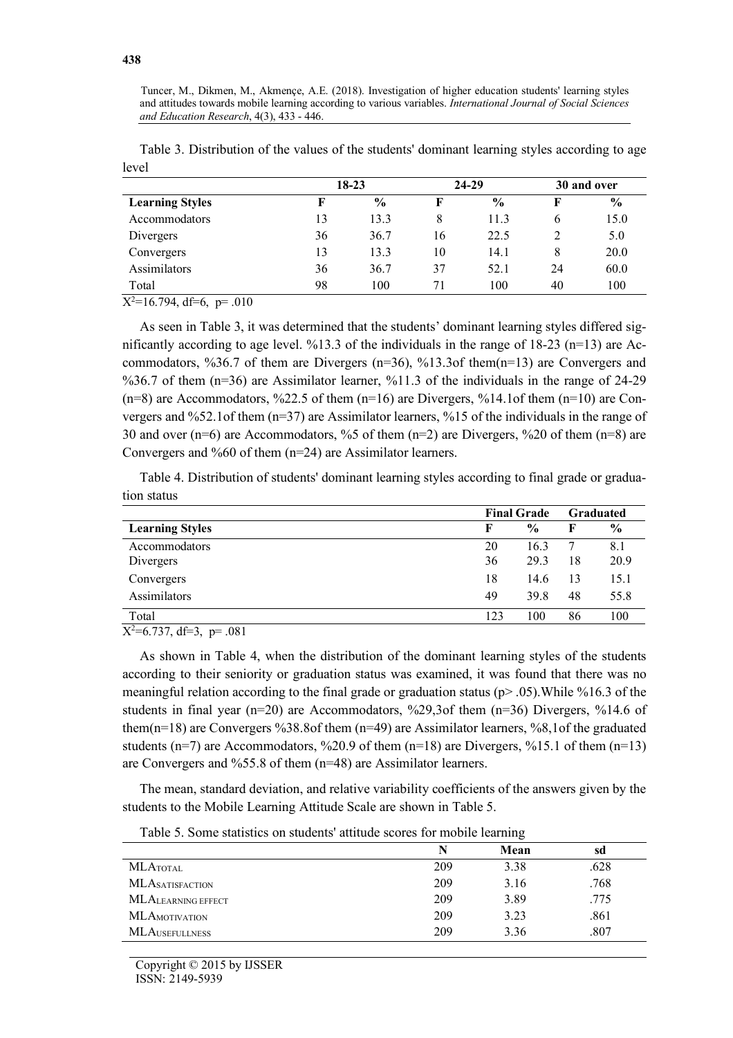Table 3. Distribution of the values of the students' dominant learning styles according to age level

|                        | 18-23 |               |    | 24-29         | 30 and over |               |  |
|------------------------|-------|---------------|----|---------------|-------------|---------------|--|
| <b>Learning Styles</b> | F     | $\frac{6}{9}$ |    | $\frac{6}{6}$ | F           | $\frac{6}{9}$ |  |
| Accommodators          | 13    | 13.3          | 8  | 11.3          | 6           | 15.0          |  |
| Divergers              | 36    | 36.7          | 16 | 22.5          |             | 5.0           |  |
| Convergers             | 13    | 13.3          | 10 | 14.1          | 8           | 20.0          |  |
| Assimilators           | 36    | 36.7          | 37 | 52.1          | 24          | 60.0          |  |
| Total                  | 98    | 100           | 71 | 100           | 40          | 100           |  |

 $X^2=16.794$ , df=6, p= .010

As seen in Table 3, it was determined that the students' dominant learning styles differed significantly according to age level. %13.3 of the individuals in the range of 18-23 ( $n=13$ ) are Accommodators,  $\frac{636.7}{ }$  of them are Divergers (n=36),  $\frac{613.3}{ }$  of them(n=13) are Convergers and %36.7 of them (n=36) are Assimilator learner, %11.3 of the individuals in the range of 24-29  $(n=8)$  are Accommodators, %22.5 of them  $(n=16)$  are Divergers, %14.1of them  $(n=10)$  are Convergers and %52.1of them (n=37) are Assimilator learners, %15 of the individuals in the range of 30 and over (n=6) are Accommodators, %5 of them (n=2) are Divergers, %20 of them (n=8) are Convergers and %60 of them (n=24) are Assimilator learners.

Table 4. Distribution of students' dominant learning styles according to final grade or graduation status

|                        | <b>Final Grade</b> |               | <b>Graduated</b> |               |
|------------------------|--------------------|---------------|------------------|---------------|
| <b>Learning Styles</b> | F                  | $\frac{0}{0}$ | F                | $\frac{0}{0}$ |
| Accommodators          | 20                 | 16.3          | 7                | 8.1           |
| Divergers              | 36                 | 29.3          | 18               | 20.9          |
| Convergers             | 18                 | 14.6          | 13               | 15.1          |
| Assimilators           | 49                 | 39.8          | 48               | 55.8          |
| Total                  | 123                | 100           | 86               | 100           |

 $X^2=6.737$ , df=3, p= .081

As shown in Table 4, when the distribution of the dominant learning styles of the students according to their seniority or graduation status was examined, it was found that there was no meaningful relation according to the final grade or graduation status ( $p$  > .05). While %16.3 of the students in final year (n=20) are Accommodators, %29,3of them (n=36) Divergers, %14.6 of them(n=18) are Convergers %38.8of them (n=49) are Assimilator learners, %8,1of the graduated students (n=7) are Accommodators, %20.9 of them (n=18) are Divergers, %15.1 of them (n=13) are Convergers and %55.8 of them (n=48) are Assimilator learners.

The mean, standard deviation, and relative variability coefficients of the answers given by the students to the Mobile Learning Attitude Scale are shown in Table 5.

|                    |     | ຼ    |     |
|--------------------|-----|------|-----|
|                    |     | Mean | sa  |
| <b>MLATOTAL</b>    | 209 | 3.38 | 628 |
| MLASATISFACTION    | 209 | 3.16 | 768 |
| MLALEARNING EFFECT | 209 | 3.89 |     |

MLAMOTIVATION 209 3.23 .861 MLAUSEFULLNESS 209 3.36 .807

Table 5. Some statistics on students' attitude scores for mobile learning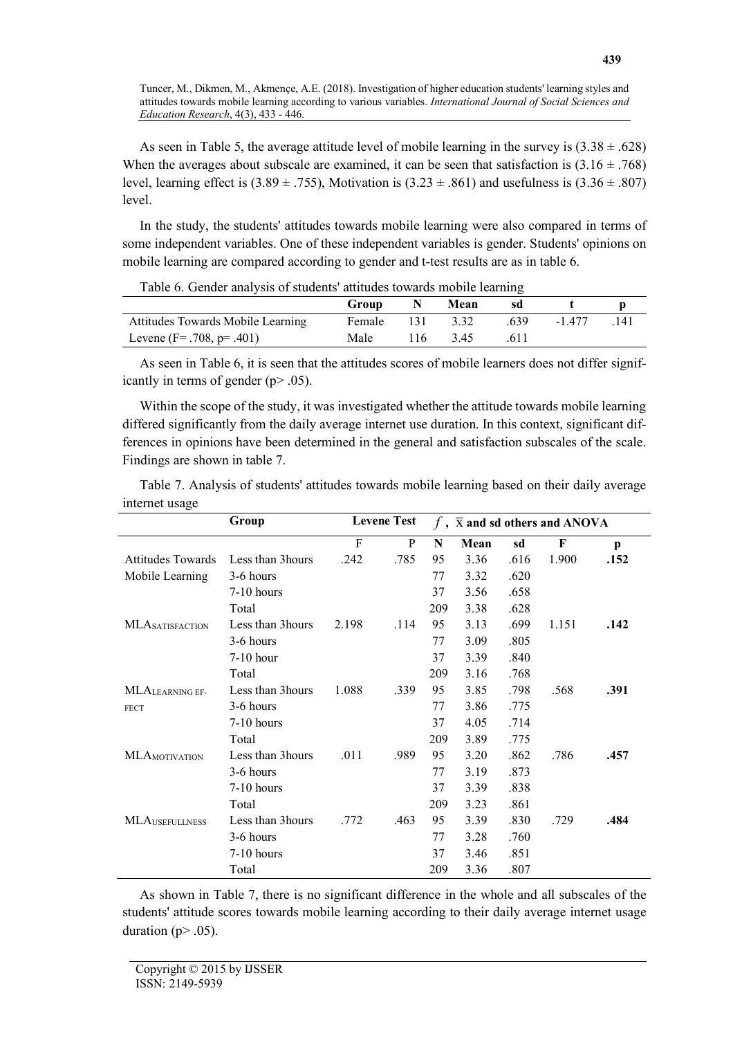As seen in Table 5, the average attitude level of mobile learning in the survey is  $(3.38 \pm .628)$ When the averages about subscale are examined, it can be seen that satisfaction is  $(3.16 \pm .768)$ level, learning effect is  $(3.89 \pm .755)$ , Motivation is  $(3.23 \pm .861)$  and usefulness is  $(3.36 \pm .807)$ level.

In the study, the students' attitudes towards mobile learning were also compared in terms of some independent variables. One of these independent variables is gender. Students' opinions on mobile learning are compared according to gender and t-test results are as in table 6.

| Twice of General and you of statemes attitudes to wards income realing |               |                 |        |          |                |
|------------------------------------------------------------------------|---------------|-----------------|--------|----------|----------------|
|                                                                        | Group N Mean  |                 | - sd   |          |                |
| Attitudes Towards Mobile Learning                                      |               | Female 131 3.32 | .639   | $-1.477$ | $\lceil$ . 141 |
| Levene (F= $.708$ , p= $.401$ )                                        | Male 116 3.45 |                 | - .611 |          |                |

Table 6. Gender analysis of students' attitudes towards mobile learning

As seen in Table 6, it is seen that the attitudes scores of mobile learners does not differ significantly in terms of gender (p> .05).

Within the scope of the study, it was investigated whether the attitude towards mobile learning differed significantly from the daily average internet use duration. In this context, significant differences in opinions have been determined in the general and satisfaction subscales of the scale. Findings are shown in table 7.

Table 7. Analysis of students' attitudes towards mobile learning based on their daily average internet usage

|                          | Group             |       | <b>Levene Test</b> |     | $f$ , $\bar{x}$ and sd others and ANOVA |      |       |              |
|--------------------------|-------------------|-------|--------------------|-----|-----------------------------------------|------|-------|--------------|
|                          |                   | F     | P                  | N   | Mean                                    | sd   | F     | $\mathbf{p}$ |
| <b>Attitudes Towards</b> | Less than 3 hours | .242  | .785               | 95  | 3.36                                    | .616 | 1.900 | .152         |
| Mobile Learning          | 3-6 hours         |       |                    | 77  | 3.32                                    | .620 |       |              |
|                          | $7-10$ hours      |       |                    | 37  | 3.56                                    | .658 |       |              |
|                          | Total             |       |                    | 209 | 3.38                                    | .628 |       |              |
| <b>MLASATISFACTION</b>   | Less than 3 hours | 2.198 | .114               | 95  | 3.13                                    | .699 | 1.151 | .142         |
|                          | 3-6 hours         |       |                    | 77  | 3.09                                    | .805 |       |              |
|                          | $7-10$ hour       |       |                    | 37  | 3.39                                    | .840 |       |              |
|                          | Total             |       |                    | 209 | 3.16                                    | .768 |       |              |
| MLALEARNING EF-          | Less than 3 hours | 1.088 | .339               | 95  | 3.85                                    | .798 | .568  | .391         |
| <b>FECT</b>              | 3-6 hours         |       |                    | 77  | 3.86                                    | .775 |       |              |
|                          | $7-10$ hours      |       |                    | 37  | 4.05                                    | .714 |       |              |
|                          | Total             |       |                    | 209 | 3.89                                    | .775 |       |              |
| <b>MLAMOTIVATION</b>     | Less than 3 hours | .011  | .989               | 95  | 3.20                                    | .862 | .786  | .457         |
|                          | 3-6 hours         |       |                    | 77  | 3.19                                    | .873 |       |              |
|                          | $7-10$ hours      |       |                    | 37  | 3.39                                    | .838 |       |              |
|                          | Total             |       |                    | 209 | 3.23                                    | .861 |       |              |
| <b>MLAUSEFULLNESS</b>    | Less than 3 hours | .772  | .463               | 95  | 3.39                                    | .830 | .729  | .484         |
|                          | 3-6 hours         |       |                    | 77  | 3.28                                    | .760 |       |              |
|                          | $7-10$ hours      |       |                    | 37  | 3.46                                    | .851 |       |              |
|                          | Total             |       |                    | 209 | 3.36                                    | .807 |       |              |

As shown in Table 7, there is no significant difference in the whole and all subscales of the students' attitude scores towards mobile learning according to their daily average internet usage duration ( $p$  $>$  .05).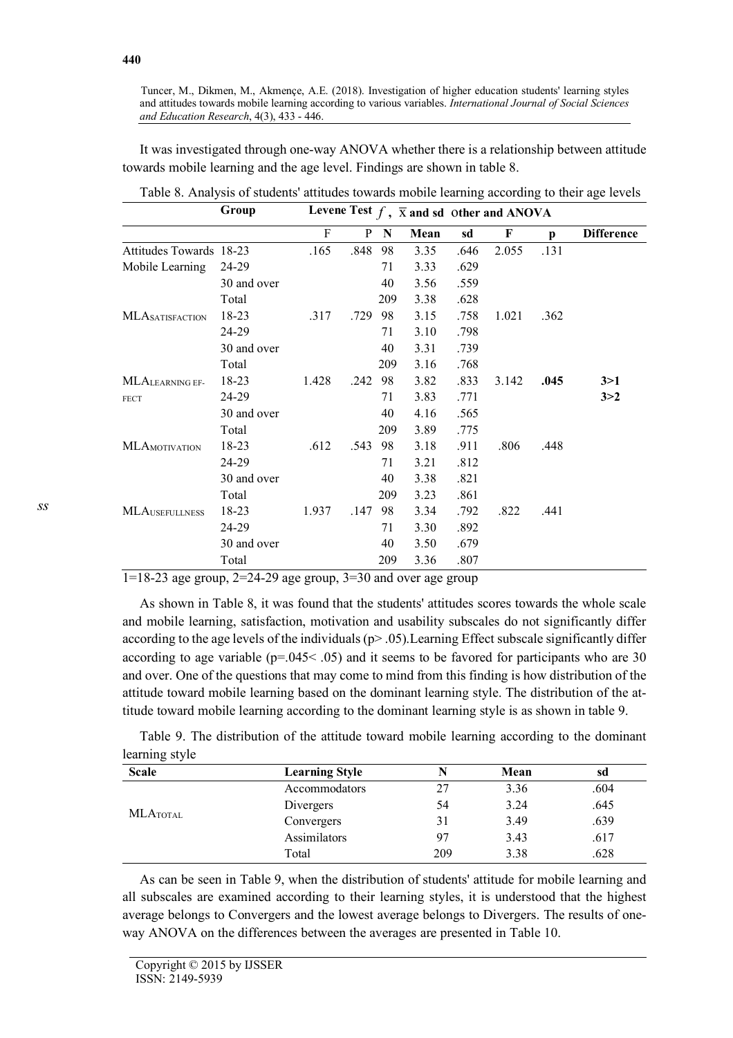It was investigated through one-way ANOVA whether there is a relationship between attitude towards mobile learning and the age level. Findings are shown in table 8.

|                         | Group       |       | Levene Test $f$ , $\bar{x}$ and sd other and ANOVA |      |      |       |      |                   |
|-------------------------|-------------|-------|----------------------------------------------------|------|------|-------|------|-------------------|
|                         |             | F     | P<br>N                                             | Mean | sd   | F     | p    | <b>Difference</b> |
| Attitudes Towards 18-23 |             | .165  | .848<br>98                                         | 3.35 | .646 | 2.055 | .131 |                   |
| Mobile Learning         | 24-29       |       | 71                                                 | 3.33 | .629 |       |      |                   |
|                         | 30 and over |       | 40                                                 | 3.56 | .559 |       |      |                   |
|                         | Total       |       | 209                                                | 3.38 | .628 |       |      |                   |
| <b>MLASATISFACTION</b>  | 18-23       | .317  | 98<br>.729                                         | 3.15 | .758 | 1.021 | .362 |                   |
|                         | 24-29       |       | 71                                                 | 3.10 | .798 |       |      |                   |
|                         | 30 and over |       | 40                                                 | 3.31 | .739 |       |      |                   |
|                         | Total       |       | 209                                                | 3.16 | .768 |       |      |                   |
| MLALEARNING EF-         | 18-23       | 1.428 | .242<br>98                                         | 3.82 | .833 | 3.142 | .045 | 3>1               |
| <b>FECT</b>             | 24-29       |       | 71                                                 | 3.83 | .771 |       |      | 3 > 2             |
|                         | 30 and over |       | 40                                                 | 4.16 | .565 |       |      |                   |
|                         | Total       |       | 209                                                | 3.89 | .775 |       |      |                   |
| <b>MLAMOTIVATION</b>    | 18-23       | .612  | 98<br>.543                                         | 3.18 | .911 | .806  | .448 |                   |
|                         | 24-29       |       | 71                                                 | 3.21 | .812 |       |      |                   |
|                         | 30 and over |       | 40                                                 | 3.38 | .821 |       |      |                   |
|                         | Total       |       | 209                                                | 3.23 | .861 |       |      |                   |
| <b>MLAUSEFULLNESS</b>   | $18-23$     | 1.937 | 98<br>.147                                         | 3.34 | .792 | .822  | .441 |                   |
|                         | 24-29       |       | 71                                                 | 3.30 | .892 |       |      |                   |
|                         | 30 and over |       | 40                                                 | 3.50 | .679 |       |      |                   |
|                         | Total       |       | 209                                                | 3.36 | .807 |       |      |                   |
|                         |             |       |                                                    |      |      |       |      |                   |

Table 8. Analysis of students' attitudes towards mobile learning according to their age levels

 $1=18-23$  age group,  $2=24-29$  age group,  $3=30$  and over age group

As shown in Table 8, it was found that the students' attitudes scores towards the whole scale and mobile learning, satisfaction, motivation and usability subscales do not significantly differ according to the age levels of the individuals  $(p> 0.05)$ . Learning Effect subscale significantly differ according to age variable ( $p=.045<.05$ ) and it seems to be favored for participants who are 30 and over. One of the questions that may come to mind from this finding is how distribution of the attitude toward mobile learning based on the dominant learning style. The distribution of the attitude toward mobile learning according to the dominant learning style is as shown in table 9.

Table 9. The distribution of the attitude toward mobile learning according to the dominant learning style

| <b>Scale</b> | <b>Learning Style</b> |     | Mean | sd   |  |
|--------------|-----------------------|-----|------|------|--|
|              | Accommodators         | 27  | 3.36 | .604 |  |
|              | Divergers             | 54  | 3.24 | .645 |  |
| MLATOTAL     | Convergers            | 31  | 3.49 | .639 |  |
|              | Assimilators          | 97  | 3.43 | .617 |  |
|              | Total                 | 209 | 3.38 | .628 |  |

As can be seen in Table 9, when the distribution of students' attitude for mobile learning and all subscales are examined according to their learning styles, it is understood that the highest average belongs to Convergers and the lowest average belongs to Divergers. The results of oneway ANOVA on the differences between the averages are presented in Table 10.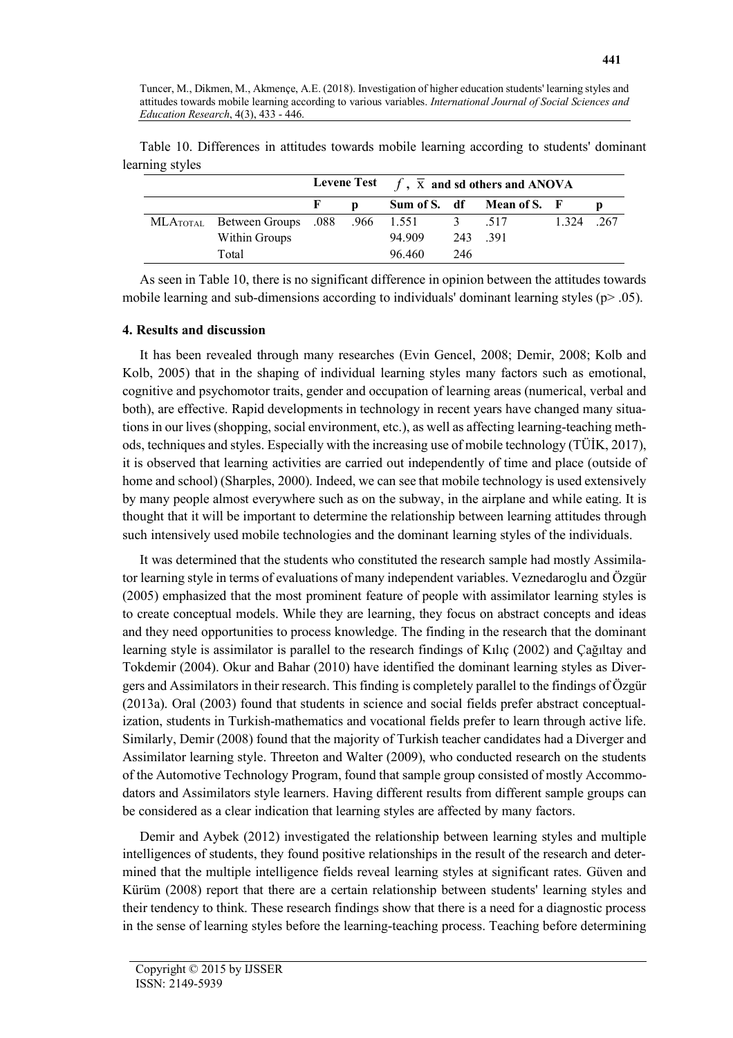|                                                            |              | Levene Test $f$ , $\overline{x}$ and sd others and ANOVA |     |                           |           |  |
|------------------------------------------------------------|--------------|----------------------------------------------------------|-----|---------------------------|-----------|--|
|                                                            | $\mathbf{F}$ |                                                          |     | Sum of S. df Mean of S. F |           |  |
| MLA <sub>TOTAL</sub> Between Groups .088 .966 1.551 3 .517 |              |                                                          |     |                           | 1 324 267 |  |
| Within Groups                                              |              | 94 909                                                   |     | 243 391                   |           |  |
| Total                                                      |              | 96.460                                                   | 246 |                           |           |  |

Table 10. Differences in attitudes towards mobile learning according to students' dominant learning styles

As seen in Table 10, there is no significant difference in opinion between the attitudes towards mobile learning and sub-dimensions according to individuals' dominant learning styles ( $p$ > .05).

### **4. Results and discussion**

It has been revealed through many researches (Evin Gencel, 2008; Demir, 2008; Kolb and Kolb, 2005) that in the shaping of individual learning styles many factors such as emotional, cognitive and psychomotor traits, gender and occupation of learning areas (numerical, verbal and both), are effective. Rapid developments in technology in recent years have changed many situations in our lives (shopping, social environment, etc.), as well as affecting learning-teaching methods, techniques and styles. Especially with the increasing use of mobile technology (TÜİK, 2017), it is observed that learning activities are carried out independently of time and place (outside of home and school) (Sharples, 2000). Indeed, we can see that mobile technology is used extensively by many people almost everywhere such as on the subway, in the airplane and while eating. It is thought that it will be important to determine the relationship between learning attitudes through such intensively used mobile technologies and the dominant learning styles of the individuals.

It was determined that the students who constituted the research sample had mostly Assimilator learning style in terms of evaluations of many independent variables. Veznedaroglu and Özgür (2005) emphasized that the most prominent feature of people with assimilator learning styles is to create conceptual models. While they are learning, they focus on abstract concepts and ideas and they need opportunities to process knowledge. The finding in the research that the dominant learning style is assimilator is parallel to the research findings of Kılıç (2002) and Çağıltay and Tokdemir (2004). Okur and Bahar (2010) have identified the dominant learning styles as Divergers and Assimilators in their research. This finding is completely parallel to the findings of Özgür (2013a). Oral (2003) found that students in science and social fields prefer abstract conceptualization, students in Turkish-mathematics and vocational fields prefer to learn through active life. Similarly, Demir (2008) found that the majority of Turkish teacher candidates had a Diverger and Assimilator learning style. Threeton and Walter (2009), who conducted research on the students of the Automotive Technology Program, found that sample group consisted of mostly Accommodators and Assimilators style learners. Having different results from different sample groups can be considered as a clear indication that learning styles are affected by many factors.

Demir and Aybek (2012) investigated the relationship between learning styles and multiple intelligences of students, they found positive relationships in the result of the research and determined that the multiple intelligence fields reveal learning styles at significant rates. Güven and Kürüm (2008) report that there are a certain relationship between students' learning styles and their tendency to think. These research findings show that there is a need for a diagnostic process in the sense of learning styles before the learning-teaching process. Teaching before determining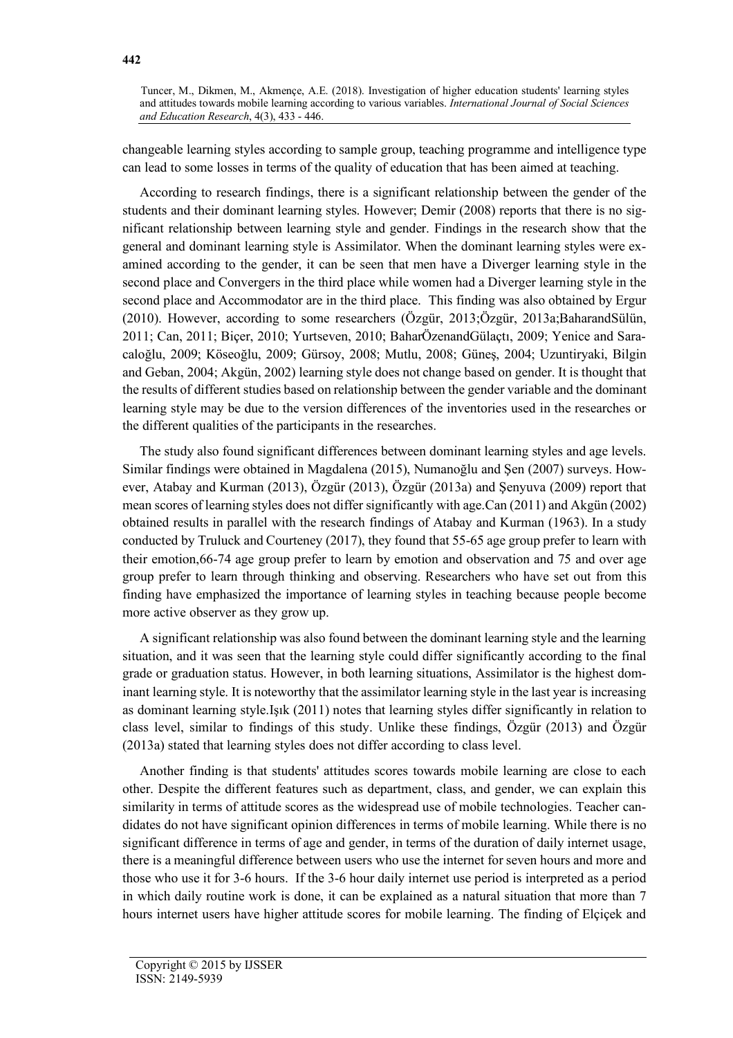changeable learning styles according to sample group, teaching programme and intelligence type can lead to some losses in terms of the quality of education that has been aimed at teaching.

According to research findings, there is a significant relationship between the gender of the students and their dominant learning styles. However; Demir (2008) reports that there is no significant relationship between learning style and gender. Findings in the research show that the general and dominant learning style is Assimilator. When the dominant learning styles were examined according to the gender, it can be seen that men have a Diverger learning style in the second place and Convergers in the third place while women had a Diverger learning style in the second place and Accommodator are in the third place. This finding was also obtained by Ergur (2010). However, according to some researchers (Özgür, 2013;Özgür, 2013a;BaharandSülün, 2011; Can, 2011; Biçer, 2010; Yurtseven, 2010; BaharÖzenandGülaçtı, 2009; Yenice and Saracaloğlu, 2009; Köseoğlu, 2009; Gürsoy, 2008; Mutlu, 2008; Güneş, 2004; Uzuntiryaki, Bilgin and Geban, 2004; Akgün, 2002) learning style does not change based on gender. It is thought that the results of different studies based on relationship between the gender variable and the dominant learning style may be due to the version differences of the inventories used in the researches or the different qualities of the participants in the researches.

The study also found significant differences between dominant learning styles and age levels. Similar findings were obtained in Magdalena (2015), Numanoğlu and Şen (2007) surveys. However, Atabay and Kurman (2013), Özgür (2013), Özgür (2013a) and Şenyuva (2009) report that mean scores of learning styles does not differ significantly with age.Can (2011) and Akgün (2002) obtained results in parallel with the research findings of Atabay and Kurman (1963). In a study conducted by Truluck and Courteney (2017), they found that 55-65 age group prefer to learn with their emotion,66-74 age group prefer to learn by emotion and observation and 75 and over age group prefer to learn through thinking and observing. Researchers who have set out from this finding have emphasized the importance of learning styles in teaching because people become more active observer as they grow up.

A significant relationship was also found between the dominant learning style and the learning situation, and it was seen that the learning style could differ significantly according to the final grade or graduation status. However, in both learning situations, Assimilator is the highest dominant learning style. It is noteworthy that the assimilator learning style in the last year is increasing as dominant learning style.Işık (2011) notes that learning styles differ significantly in relation to class level, similar to findings of this study. Unlike these findings, Özgür (2013) and Özgür (2013a) stated that learning styles does not differ according to class level.

Another finding is that students' attitudes scores towards mobile learning are close to each other. Despite the different features such as department, class, and gender, we can explain this similarity in terms of attitude scores as the widespread use of mobile technologies. Teacher candidates do not have significant opinion differences in terms of mobile learning. While there is no significant difference in terms of age and gender, in terms of the duration of daily internet usage, there is a meaningful difference between users who use the internet for seven hours and more and those who use it for 3-6 hours. If the 3-6 hour daily internet use period is interpreted as a period in which daily routine work is done, it can be explained as a natural situation that more than 7 hours internet users have higher attitude scores for mobile learning. The finding of Elçiçek and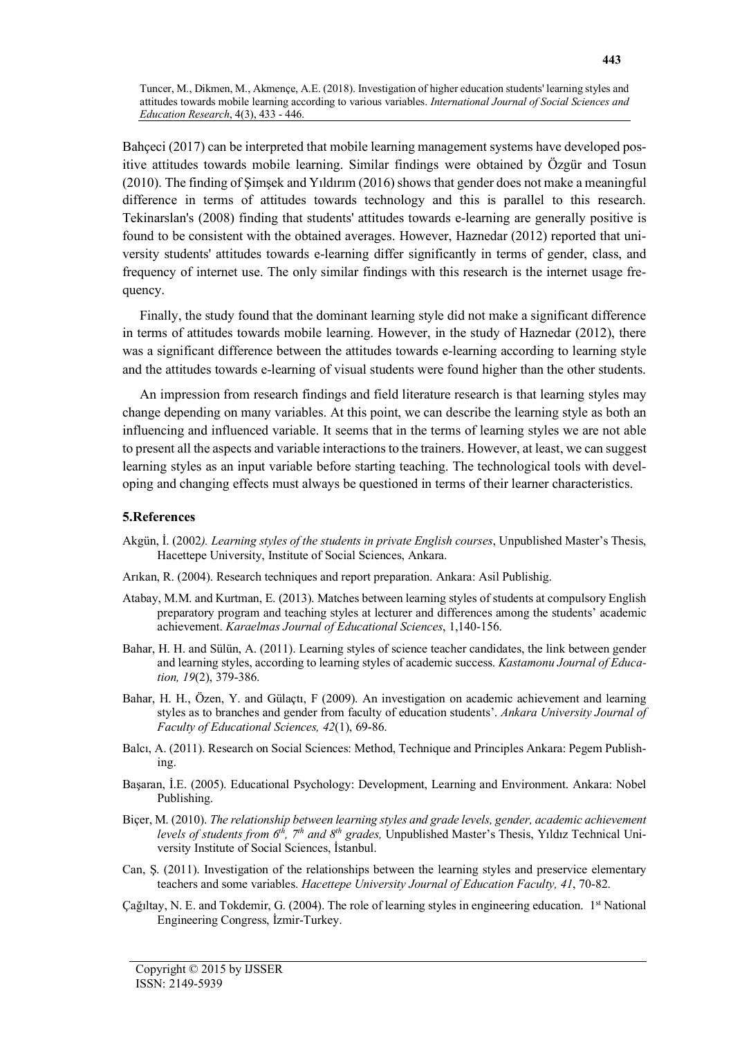Bahçeci (2017) can be interpreted that mobile learning management systems have developed positive attitudes towards mobile learning. Similar findings were obtained by Özgür and Tosun (2010). The finding of Şimşek and Yıldırım (2016) shows that gender does not make a meaningful difference in terms of attitudes towards technology and this is parallel to this research. Tekinarslan's (2008) finding that students' attitudes towards e-learning are generally positive is found to be consistent with the obtained averages. However, Haznedar (2012) reported that university students' attitudes towards e-learning differ significantly in terms of gender, class, and frequency of internet use. The only similar findings with this research is the internet usage frequency.

Finally, the study found that the dominant learning style did not make a significant difference in terms of attitudes towards mobile learning. However, in the study of Haznedar (2012), there was a significant difference between the attitudes towards e-learning according to learning style and the attitudes towards e-learning of visual students were found higher than the other students.

An impression from research findings and field literature research is that learning styles may change depending on many variables. At this point, we can describe the learning style as both an influencing and influenced variable. It seems that in the terms of learning styles we are not able to present all the aspects and variable interactions to the trainers. However, at least, we can suggest learning styles as an input variable before starting teaching. The technological tools with developing and changing effects must always be questioned in terms of their learner characteristics.

### **5.References**

- Akgün, İ. (2002*). Learning styles of the students in private English courses*, Unpublished Master's Thesis, Hacettepe University, Institute of Social Sciences, Ankara.
- Arıkan, R. (2004). Research techniques and report preparation. Ankara: Asil Publishig.
- Atabay, M.M. and Kurtman, E. (2013). Matches between learning styles of students at compulsory English preparatory program and teaching styles at lecturer and differences among the students' academic achievement. *Karaelmas Journal of Educational Sciences*, 1,140-156.
- Bahar, H. H. and Sülün, A. (2011). Learning styles of science teacher candidates, the link between gender and learning styles, according to learning styles of academic success. *Kastamonu Journal of Education, 19*(2), 379-386.
- Bahar, H. H., Özen, Y. and Gülaçtı, F (2009). An investigation on academic achievement and learning styles as to branches and gender from faculty of education students'. *Ankara University Journal of Faculty of Educational Sciences, 42*(1), 69-86.
- Balcı, A. (2011). Research on Social Sciences: Method, Technique and Principles Ankara: Pegem Publishing.
- Başaran, İ.E. (2005). Educational Psychology: Development, Learning and Environment. Ankara: Nobel Publishing.
- Biçer, M. (2010). *The relationship between learning styles and grade levels, gender, academic achievement levels of students from 6th, 7th and 8th grades,* Unpublished Master's Thesis, Yıldız Technical University Institute of Social Sciences, İstanbul.
- Can, Ş. (2011). Investigation of the relationships between the learning styles and preservice elementary teachers and some variables. *Hacettepe University Journal of Education Faculty, 41*, 70-82.
- Çağıltay, N. E. and Tokdemir, G. (2004). The role of learning styles in engineering education. 1st National Engineering Congress, İzmir-Turkey.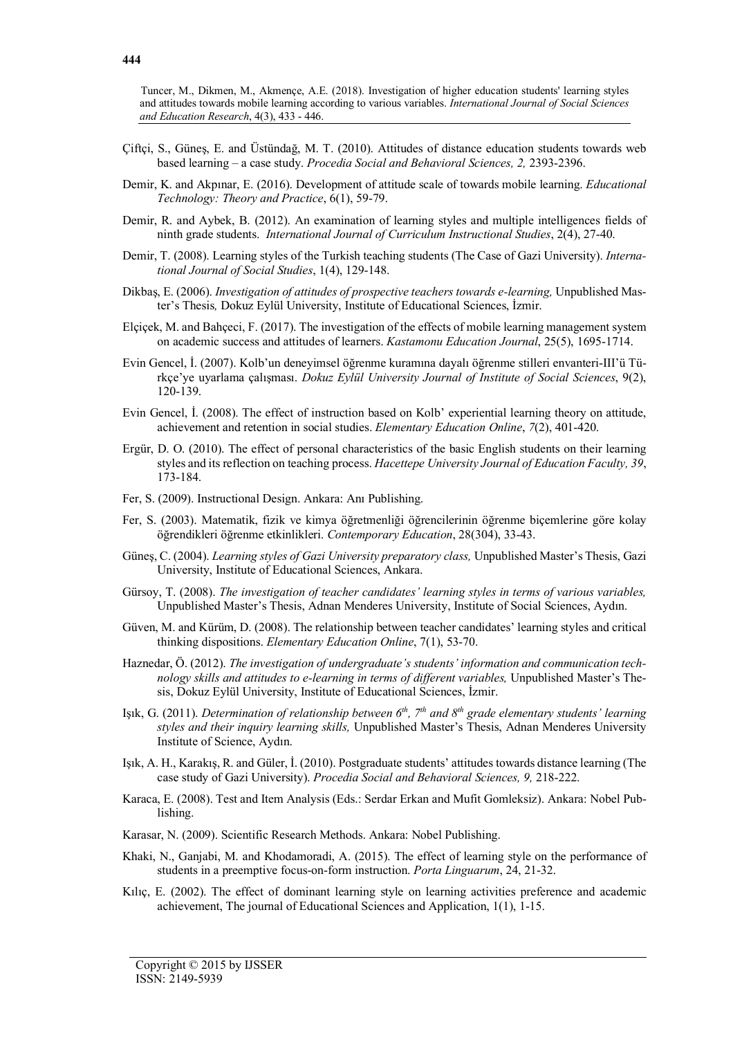- Çiftçi, S., Güneş, E. and Üstündağ, M. T. (2010). Attitudes of distance education students towards web based learning – a case study. *Procedia Social and Behavioral Sciences, 2,* 2393-2396.
- Demir, K. and Akpınar, E. (2016). Development of attitude scale of towards mobile learning. *Educational Technology: Theory and Practice*, 6(1), 59-79.
- Demir, R. and Aybek, B. (2012). An examination of learning styles and multiple intelligences fields of ninth grade students. *International Journal of Curriculum Instructional Studies*, 2(4), 27-40.
- Demir, T. (2008). Learning styles of the Turkish teaching students (The Case of Gazi University). *International Journal of Social Studies*, 1(4), 129-148.
- Dikbaş, E. (2006). *Investigation of attitudes of prospective teachers towards e-learning,* Unpublished Master's Thesis*,* Dokuz Eylül University, Institute of Educational Sciences, İzmir.
- Elçiçek, M. and Bahçeci, F. (2017). The investigation of the effects of mobile learning management system on academic success and attitudes of learners. *Kastamonu Education Journal*, 25(5), 1695-1714.
- Evin Gencel, İ. (2007). Kolb'un deneyimsel öğrenme kuramına dayalı öğrenme stilleri envanteri-III'ü Türkçe'ye uyarlama çalışması. *Dokuz Eylül University Journal of Institute of Social Sciences*, 9(2), 120-139.
- Evin Gencel, İ. (2008). The effect of instruction based on Kolb' experiential learning theory on attitude, achievement and retention in social studies. *Elementary Education Online*, *7*(2), 401-420.
- Ergür, D. O. (2010). The effect of personal characteristics of the basic English students on their learning styles and its reflection on teaching process. *Hacettepe University Journal of Education Faculty, 39*, 173-184.
- Fer, S. (2009). Instructional Design. Ankara: Anı Publishing.
- Fer, S. (2003). Matematik, fizik ve kimya öğretmenliği öğrencilerinin öğrenme biçemlerine göre kolay öğrendikleri öğrenme etkinlikleri. *Contemporary Education*, 28(304), 33-43.
- Güneş, C. (2004). *Learning styles of Gazi University preparatory class,* Unpublished Master's Thesis, Gazi University, Institute of Educational Sciences, Ankara.
- Gürsoy, T. (2008). *The investigation of teacher candidates' learning styles in terms of various variables,* Unpublished Master's Thesis, Adnan Menderes University, Institute of Social Sciences, Aydın.
- Güven, M. and Kürüm, D. (2008). The relationship between teacher candidates' learning styles and critical thinking dispositions. *Elementary Education Online*, 7(1), 53-70.
- Haznedar, Ö. (2012). *The investigation of undergraduate's students' information and communication technology skills and attitudes to e-learning in terms of different variables,* Unpublished Master's Thesis, Dokuz Eylül University, Institute of Educational Sciences, İzmir.
- Işık, G. (2011). *Determination of relationship between 6<sup>th</sup>, 7<sup>th</sup> and 8<sup>th</sup> grade elementary students' learning styles and their inquiry learning skills,* Unpublished Master's Thesis, Adnan Menderes University Institute of Science, Aydın.
- Işık, A. H., Karakış, R. and Güler, İ. (2010). Postgraduate students' attitudes towards distance learning (The case study of Gazi University). *Procedia Social and Behavioral Sciences, 9,* 218-222.
- Karaca, E. (2008). Test and Item Analysis (Eds.: Serdar Erkan and Mufit Gomleksiz). Ankara: Nobel Publishing.
- Karasar, N. (2009). Scientific Research Methods. Ankara: Nobel Publishing.
- Khaki, N., Ganjabi, M. and Khodamoradi, A. (2015). The effect of learning style on the performance of students in a preemptive focus-on-form instruction. *Porta Linguarum*, 24, 21-32.
- Kılıç, E. (2002). The effect of dominant learning style on learning activities preference and academic achievement, The journal of Educational Sciences and Application, 1(1), 1-15.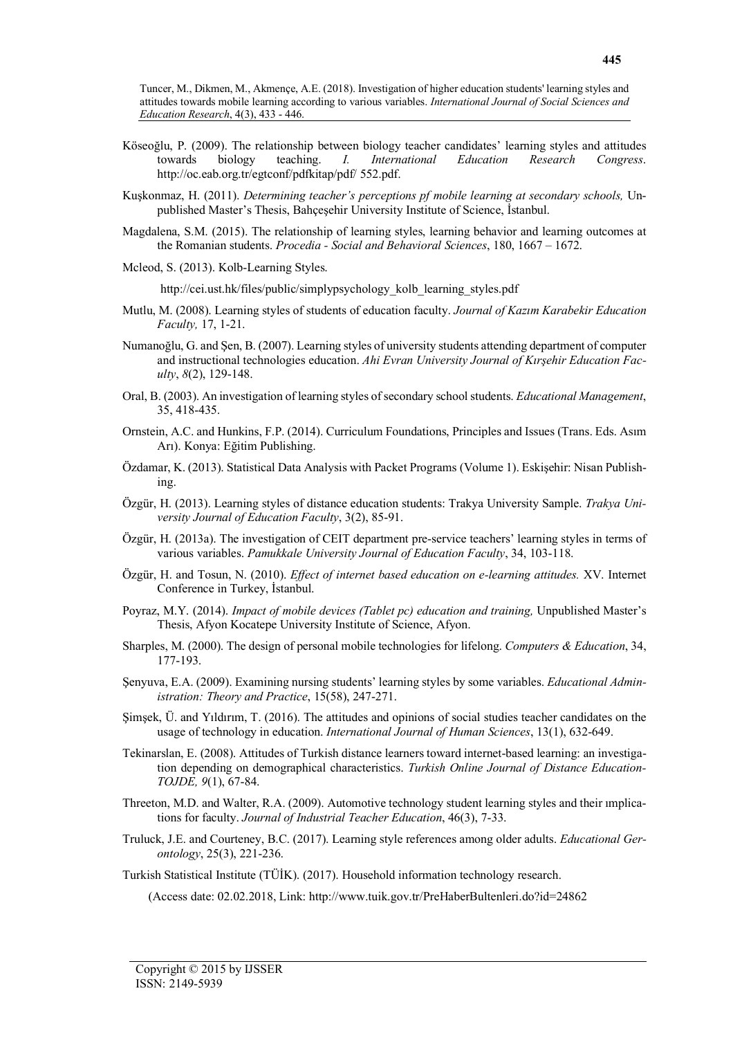- Köseoğlu, P. (2009). The relationship between biology teacher candidates' learning styles and attitudes towards biology teaching. *I. International Education Research Congress*. http://oc.eab.org.tr/egtconf/pdfkitap/pdf/ 552.pdf.
- Kuşkonmaz, H. (2011). *Determining teacher's perceptions pf mobile learning at secondary schools,* Unpublished Master's Thesis, Bahçeşehir University Institute of Science, İstanbul.
- Magdalena, S.M. (2015). The relationship of learning styles, learning behavior and learning outcomes at the Romanian students. *Procedia - Social and Behavioral Sciences*, 180, 1667 – 1672.
- Mcleod, S. (2013). Kolb-Learning Styles.

http://cei.ust.hk/files/public/simplypsychology\_kolb\_learning\_styles.pdf

- Mutlu, M. (2008). Learning styles of students of education faculty. *Journal of Kazım Karabekir Education Faculty,* 17, 1-21.
- Numanoğlu, G. and Şen, B. (2007). Learning styles of university students attending department of computer and instructional technologies education. *Ahi Evran University Journal of Kırşehir Education Faculty*, *8*(2), 129-148.
- Oral, B. (2003). An investigation of learning styles of secondary school students. *Educational Management*, 35, 418-435.
- Ornstein, A.C. and Hunkins, F.P. (2014). Curriculum Foundations, Principles and Issues (Trans. Eds. Asım Arı). Konya: Eğitim Publishing.
- Özdamar, K. (2013). Statistical Data Analysis with Packet Programs (Volume 1). Eskişehir: Nisan Publishing.
- Özgür, H. (2013). Learning styles of distance education students: Trakya University Sample. *Trakya University Journal of Education Faculty*, 3(2), 85-91.
- Özgür, H. (2013a). The investigation of CEIT department pre-service teachers' learning styles in terms of various variables. *Pamukkale University Journal of Education Faculty*, 34, 103-118.
- Özgür, H. and Tosun, N. (2010). *Effect of internet based education on e-learning attitudes.* XV. Internet Conference in Turkey, İstanbul.
- Poyraz, M.Y. (2014). *Impact of mobile devices (Tablet pc) education and training,* Unpublished Master's Thesis, Afyon Kocatepe University Institute of Science, Afyon.
- Sharples, M. (2000). The design of personal mobile technologies for lifelong. *Computers & Education*, 34, 177-193.
- Şenyuva, E.A. (2009). Examining nursing students' learning styles by some variables. *Educational Administration: Theory and Practice*, 15(58), 247-271.
- Şimşek, Ü. and Yıldırım, T. (2016). The attitudes and opinions of social studies teacher candidates on the usage of technology in education. *International Journal of Human Sciences*, 13(1), 632-649.
- Tekinarslan, E. (2008). Attitudes of Turkish distance learners toward internet-based learning: an investigation depending on demographical characteristics. *Turkish Online Journal of Distance Education-TOJDE, 9*(1), 67-84.
- Threeton, M.D. and Walter, R.A. (2009). Automotive technology student learning styles and their ımplications for faculty. *Journal of Industrial Teacher Education*, 46(3), 7-33.
- Truluck, J.E. and Courteney, B.C. (2017). Learning style references among older adults. *Educational Gerontology*, 25(3), 221-236.

Turkish Statistical Institute (TÜİK). (2017). Household information technology research.

(Access date: 02.02.2018, Link: http://www.tuik.gov.tr/PreHaberBultenleri.do?id=24862